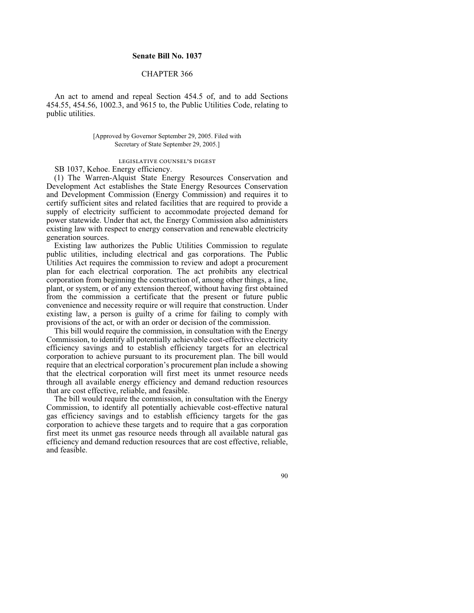## **Senate Bill No. 1037**

# CHAPTER 366

An act to amend and repeal Section 454.5 of, and to add Sections 454.55, 454.56, 1002.3, and 9615 to, the Public Utilities Code, relating to public utilities.

## [Approved by Governor September 29, 2005. Filed with Secretary of State September 29, 2005.]

#### legislative counsel's digest

SB 1037, Kehoe. Energy efficiency.

(1) The Warren-Alquist State Energy Resources Conservation and Development Act establishes the State Energy Resources Conservation and Development Commission (Energy Commission) and requires it to certify sufficient sites and related facilities that are required to provide a supply of electricity sufficient to accommodate projected demand for power statewide. Under that act, the Energy Commission also administers existing law with respect to energy conservation and renewable electricity generation sources.

Existing law authorizes the Public Utilities Commission to regulate public utilities, including electrical and gas corporations. The Public Utilities Act requires the commission to review and adopt a procurement plan for each electrical corporation. The act prohibits any electrical corporation from beginning the construction of, among other things, a line, plant, or system, or of any extension thereof, without having first obtained from the commission a certificate that the present or future public convenience and necessity require or will require that construction. Under existing law, a person is guilty of a crime for failing to comply with provisions of the act, or with an order or decision of the commission.

This bill would require the commission, in consultation with the Energy Commission, to identify all potentially achievable cost-effective electricity efficiency savings and to establish efficiency targets for an electrical corporation to achieve pursuant to its procurement plan. The bill would require that an electrical corporation's procurement plan include a showing that the electrical corporation will first meet its unmet resource needs through all available energy efficiency and demand reduction resources that are cost effective, reliable, and feasible.

The bill would require the commission, in consultation with the Energy Commission, to identify all potentially achievable cost-effective natural gas efficiency savings and to establish efficiency targets for the gas corporation to achieve these targets and to require that a gas corporation first meet its unmet gas resource needs through all available natural gas efficiency and demand reduction resources that are cost effective, reliable, and feasible.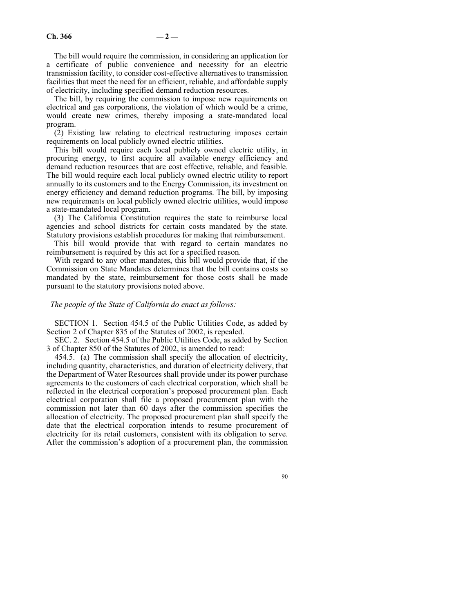The bill would require the commission, in considering an application for a certificate of public convenience and necessity for an electric transmission facility, to consider cost-effective alternatives to transmission facilities that meet the need for an efficient, reliable, and affordable supply of electricity, including specified demand reduction resources.

The bill, by requiring the commission to impose new requirements on electrical and gas corporations, the violation of which would be a crime, would create new crimes, thereby imposing a state-mandated local program.

(2) Existing law relating to electrical restructuring imposes certain requirements on local publicly owned electric utilities.

This bill would require each local publicly owned electric utility, in procuring energy, to first acquire all available energy efficiency and demand reduction resources that are cost effective, reliable, and feasible. The bill would require each local publicly owned electric utility to report annually to its customers and to the Energy Commission, its investment on energy efficiency and demand reduction programs. The bill, by imposing new requirements on local publicly owned electric utilities, would impose a state-mandated local program.

(3) The California Constitution requires the state to reimburse local agencies and school districts for certain costs mandated by the state. Statutory provisions establish procedures for making that reimbursement.

This bill would provide that with regard to certain mandates no reimbursement is required by this act for a specified reason.

With regard to any other mandates, this bill would provide that, if the Commission on State Mandates determines that the bill contains costs so mandated by the state, reimbursement for those costs shall be made pursuant to the statutory provisions noted above.

#### *The people of the State of California do enact as follows:*

SECTION 1. Section 454.5 of the Public Utilities Code, as added by Section 2 of Chapter 835 of the Statutes of 2002, is repealed.

SEC. 2. Section 454.5 of the Public Utilities Code, as added by Section 3 of Chapter 850 of the Statutes of 2002, is amended to read:

454.5. (a) The commission shall specify the allocation of electricity, including quantity, characteristics, and duration of electricity delivery, that the Department of Water Resources shall provide under its power purchase agreements to the customers of each electrical corporation, which shall be reflected in the electrical corporation's proposed procurement plan. Each electrical corporation shall file a proposed procurement plan with the commission not later than 60 days after the commission specifies the allocation of electricity. The proposed procurement plan shall specify the date that the electrical corporation intends to resume procurement of electricity for its retail customers, consistent with its obligation to serve. After the commission's adoption of a procurement plan, the commission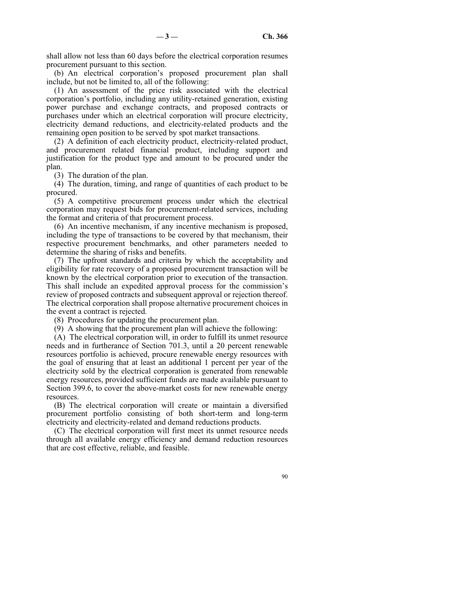shall allow not less than 60 days before the electrical corporation resumes procurement pursuant to this section.

(b) An electrical corporation's proposed procurement plan shall include, but not be limited to, all of the following:

(1) An assessment of the price risk associated with the electrical corporation's portfolio, including any utility-retained generation, existing power purchase and exchange contracts, and proposed contracts or purchases under which an electrical corporation will procure electricity, electricity demand reductions, and electricity-related products and the remaining open position to be served by spot market transactions.

(2) A definition of each electricity product, electricity-related product, and procurement related financial product, including support and justification for the product type and amount to be procured under the plan.

(3) The duration of the plan.

(4) The duration, timing, and range of quantities of each product to be procured.

(5) A competitive procurement process under which the electrical corporation may request bids for procurement-related services, including the format and criteria of that procurement process.

(6) An incentive mechanism, if any incentive mechanism is proposed, including the type of transactions to be covered by that mechanism, their respective procurement benchmarks, and other parameters needed to determine the sharing of risks and benefits.

(7) The upfront standards and criteria by which the acceptability and eligibility for rate recovery of a proposed procurement transaction will be known by the electrical corporation prior to execution of the transaction. This shall include an expedited approval process for the commission's review of proposed contracts and subsequent approval or rejection thereof. The electrical corporation shall propose alternative procurement choices in the event a contract is rejected.

(8) Procedures for updating the procurement plan.

(9) A showing that the procurement plan will achieve the following:

(A) The electrical corporation will, in order to fulfill its unmet resource needs and in furtherance of Section 701.3, until a 20 percent renewable resources portfolio is achieved, procure renewable energy resources with the goal of ensuring that at least an additional 1 percent per year of the electricity sold by the electrical corporation is generated from renewable energy resources, provided sufficient funds are made available pursuant to Section 399.6, to cover the above-market costs for new renewable energy resources.

(B) The electrical corporation will create or maintain a diversified procurement portfolio consisting of both short-term and long-term electricity and electricity-related and demand reductions products.

(C) The electrical corporation will first meet its unmet resource needs through all available energy efficiency and demand reduction resources that are cost effective, reliable, and feasible.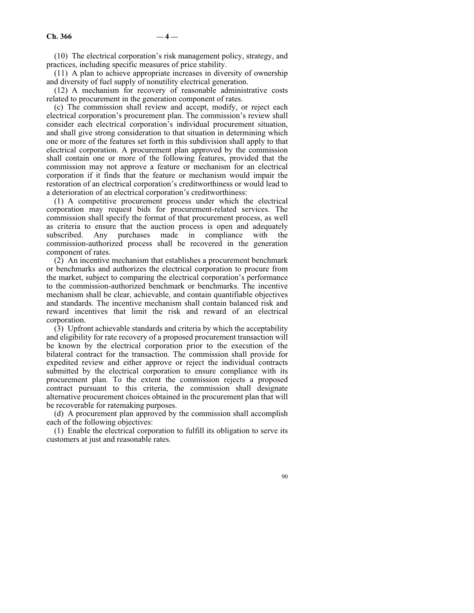(10) The electrical corporation's risk management policy, strategy, and practices, including specific measures of price stability.

(11) A plan to achieve appropriate increases in diversity of ownership and diversity of fuel supply of nonutility electrical generation.

(12) A mechanism for recovery of reasonable administrative costs related to procurement in the generation component of rates.

(c) The commission shall review and accept, modify, or reject each electrical corporation's procurement plan. The commission's review shall consider each electrical corporation's individual procurement situation, and shall give strong consideration to that situation in determining which one or more of the features set forth in this subdivision shall apply to that electrical corporation. A procurement plan approved by the commission shall contain one or more of the following features, provided that the commission may not approve a feature or mechanism for an electrical corporation if it finds that the feature or mechanism would impair the restoration of an electrical corporation's creditworthiness or would lead to a deterioration of an electrical corporation's creditworthiness:

(1) A competitive procurement process under which the electrical corporation may request bids for procurement-related services. The commission shall specify the format of that procurement process, as well as criteria to ensure that the auction process is open and adequately subscribed. Any purchases made in compliance with the commission-authorized process shall be recovered in the generation component of rates.

(2) An incentive mechanism that establishes a procurement benchmark or benchmarks and authorizes the electrical corporation to procure from the market, subject to comparing the electrical corporation's performance to the commission-authorized benchmark or benchmarks. The incentive mechanism shall be clear, achievable, and contain quantifiable objectives and standards. The incentive mechanism shall contain balanced risk and reward incentives that limit the risk and reward of an electrical corporation.

(3) Upfront achievable standards and criteria by which the acceptability and eligibility for rate recovery of a proposed procurement transaction will be known by the electrical corporation prior to the execution of the bilateral contract for the transaction. The commission shall provide for expedited review and either approve or reject the individual contracts submitted by the electrical corporation to ensure compliance with its procurement plan. To the extent the commission rejects a proposed contract pursuant to this criteria, the commission shall designate alternative procurement choices obtained in the procurement plan that will be recoverable for ratemaking purposes.

(d) A procurement plan approved by the commission shall accomplish each of the following objectives:

(1) Enable the electrical corporation to fulfill its obligation to serve its customers at just and reasonable rates.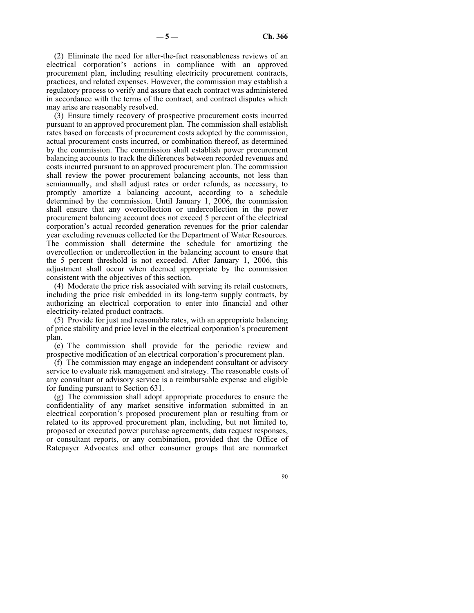(2) Eliminate the need for after-the-fact reasonableness reviews of an electrical corporation's actions in compliance with an approved procurement plan, including resulting electricity procurement contracts, practices, and related expenses. However, the commission may establish a regulatory process to verify and assure that each contract was administered in accordance with the terms of the contract, and contract disputes which may arise are reasonably resolved.

(3) Ensure timely recovery of prospective procurement costs incurred pursuant to an approved procurement plan. The commission shall establish rates based on forecasts of procurement costs adopted by the commission, actual procurement costs incurred, or combination thereof, as determined by the commission. The commission shall establish power procurement balancing accounts to track the differences between recorded revenues and costs incurred pursuant to an approved procurement plan. The commission shall review the power procurement balancing accounts, not less than semiannually, and shall adjust rates or order refunds, as necessary, to promptly amortize a balancing account, according to a schedule determined by the commission. Until January 1, 2006, the commission shall ensure that any overcollection or undercollection in the power procurement balancing account does not exceed 5 percent of the electrical corporation's actual recorded generation revenues for the prior calendar year excluding revenues collected for the Department of Water Resources. The commission shall determine the schedule for amortizing the overcollection or undercollection in the balancing account to ensure that the 5 percent threshold is not exceeded. After January 1, 2006, this adjustment shall occur when deemed appropriate by the commission consistent with the objectives of this section.

(4) Moderate the price risk associated with serving its retail customers, including the price risk embedded in its long-term supply contracts, by authorizing an electrical corporation to enter into financial and other electricity-related product contracts.

(5) Provide for just and reasonable rates, with an appropriate balancing of price stability and price level in the electrical corporation's procurement plan.

(e) The commission shall provide for the periodic review and prospective modification of an electrical corporation's procurement plan.

(f) The commission may engage an independent consultant or advisory service to evaluate risk management and strategy. The reasonable costs of any consultant or advisory service is a reimbursable expense and eligible for funding pursuant to Section 631.

(g) The commission shall adopt appropriate procedures to ensure the confidentiality of any market sensitive information submitted in an electrical corporation's proposed procurement plan or resulting from or related to its approved procurement plan, including, but not limited to, proposed or executed power purchase agreements, data request responses, or consultant reports, or any combination, provided that the Office of Ratepayer Advocates and other consumer groups that are nonmarket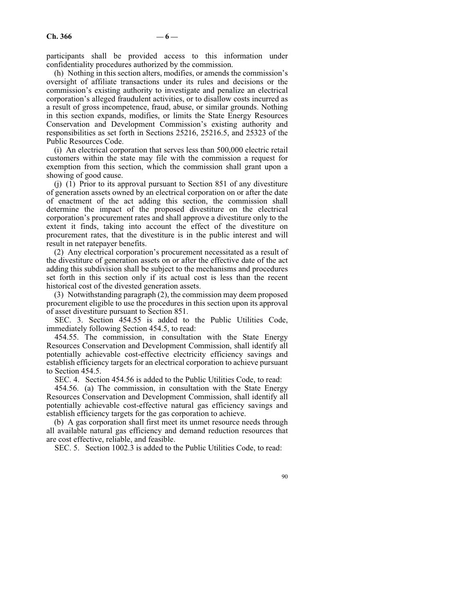participants shall be provided access to this information under confidentiality procedures authorized by the commission.

(h) Nothing in this section alters, modifies, or amends the commission's oversight of affiliate transactions under its rules and decisions or the commission's existing authority to investigate and penalize an electrical corporation's alleged fraudulent activities, or to disallow costs incurred as a result of gross incompetence, fraud, abuse, or similar grounds. Nothing in this section expands, modifies, or limits the State Energy Resources Conservation and Development Commission's existing authority and responsibilities as set forth in Sections 25216, 25216.5, and 25323 of the Public Resources Code.

(i) An electrical corporation that serves less than 500,000 electric retail customers within the state may file with the commission a request for exemption from this section, which the commission shall grant upon a showing of good cause.

 $(i)$  (1) Prior to its approval pursuant to Section 851 of any divestiture of generation assets owned by an electrical corporation on or after the date of enactment of the act adding this section, the commission shall determine the impact of the proposed divestiture on the electrical corporation's procurement rates and shall approve a divestiture only to the extent it finds, taking into account the effect of the divestiture on procurement rates, that the divestiture is in the public interest and will result in net ratepayer benefits.

(2) Any electrical corporation's procurement necessitated as a result of the divestiture of generation assets on or after the effective date of the act adding this subdivision shall be subject to the mechanisms and procedures set forth in this section only if its actual cost is less than the recent historical cost of the divested generation assets.

(3) Notwithstanding paragraph (2), the commission may deem proposed procurement eligible to use the procedures in this section upon its approval of asset divestiture pursuant to Section 851.

SEC. 3. Section 454.55 is added to the Public Utilities Code, immediately following Section 454.5, to read:

454.55. The commission, in consultation with the State Energy Resources Conservation and Development Commission, shall identify all potentially achievable cost-effective electricity efficiency savings and establish efficiency targets for an electrical corporation to achieve pursuant to Section 454.5.

SEC. 4. Section 454.56 is added to the Public Utilities Code, to read:

454.56. (a) The commission, in consultation with the State Energy Resources Conservation and Development Commission, shall identify all potentially achievable cost-effective natural gas efficiency savings and establish efficiency targets for the gas corporation to achieve.

(b) A gas corporation shall first meet its unmet resource needs through all available natural gas efficiency and demand reduction resources that are cost effective, reliable, and feasible.

SEC. 5. Section 1002.3 is added to the Public Utilities Code, to read: